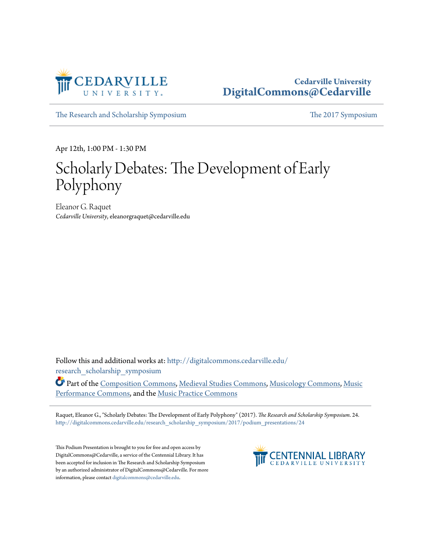

## **Cedarville University [DigitalCommons@Cedarville](http://digitalcommons.cedarville.edu?utm_source=digitalcommons.cedarville.edu%2Fresearch_scholarship_symposium%2F2017%2Fpodium_presentations%2F24&utm_medium=PDF&utm_campaign=PDFCoverPages)**

[The Research and Scholarship Symposium](http://digitalcommons.cedarville.edu/research_scholarship_symposium?utm_source=digitalcommons.cedarville.edu%2Fresearch_scholarship_symposium%2F2017%2Fpodium_presentations%2F24&utm_medium=PDF&utm_campaign=PDFCoverPages) [The 2017 Symposium](http://digitalcommons.cedarville.edu/research_scholarship_symposium/2017?utm_source=digitalcommons.cedarville.edu%2Fresearch_scholarship_symposium%2F2017%2Fpodium_presentations%2F24&utm_medium=PDF&utm_campaign=PDFCoverPages)

Apr 12th, 1:00 PM - 1:30 PM

## Scholarly Debates: The Development of Early Polyphony

Eleanor G. Raquet *Cedarville University*, eleanorgraquet@cedarville.edu

Follow this and additional works at: [http://digitalcommons.cedarville.edu/](http://digitalcommons.cedarville.edu/research_scholarship_symposium?utm_source=digitalcommons.cedarville.edu%2Fresearch_scholarship_symposium%2F2017%2Fpodium_presentations%2F24&utm_medium=PDF&utm_campaign=PDFCoverPages) [research\\_scholarship\\_symposium](http://digitalcommons.cedarville.edu/research_scholarship_symposium?utm_source=digitalcommons.cedarville.edu%2Fresearch_scholarship_symposium%2F2017%2Fpodium_presentations%2F24&utm_medium=PDF&utm_campaign=PDFCoverPages)

Part of the [Composition Commons,](http://network.bepress.com/hgg/discipline/519?utm_source=digitalcommons.cedarville.edu%2Fresearch_scholarship_symposium%2F2017%2Fpodium_presentations%2F24&utm_medium=PDF&utm_campaign=PDFCoverPages) [Medieval Studies Commons](http://network.bepress.com/hgg/discipline/480?utm_source=digitalcommons.cedarville.edu%2Fresearch_scholarship_symposium%2F2017%2Fpodium_presentations%2F24&utm_medium=PDF&utm_campaign=PDFCoverPages), [Musicology Commons,](http://network.bepress.com/hgg/discipline/521?utm_source=digitalcommons.cedarville.edu%2Fresearch_scholarship_symposium%2F2017%2Fpodium_presentations%2F24&utm_medium=PDF&utm_campaign=PDFCoverPages) [Music](http://network.bepress.com/hgg/discipline/1128?utm_source=digitalcommons.cedarville.edu%2Fresearch_scholarship_symposium%2F2017%2Fpodium_presentations%2F24&utm_medium=PDF&utm_campaign=PDFCoverPages) [Performance Commons,](http://network.bepress.com/hgg/discipline/1128?utm_source=digitalcommons.cedarville.edu%2Fresearch_scholarship_symposium%2F2017%2Fpodium_presentations%2F24&utm_medium=PDF&utm_campaign=PDFCoverPages) and the [Music Practice Commons](http://network.bepress.com/hgg/discipline/523?utm_source=digitalcommons.cedarville.edu%2Fresearch_scholarship_symposium%2F2017%2Fpodium_presentations%2F24&utm_medium=PDF&utm_campaign=PDFCoverPages)

Raquet, Eleanor G., "Scholarly Debates: The Development of Early Polyphony" (2017). *The Research and Scholarship Symposium*. 24. [http://digitalcommons.cedarville.edu/research\\_scholarship\\_symposium/2017/podium\\_presentations/24](http://digitalcommons.cedarville.edu/research_scholarship_symposium/2017/podium_presentations/24?utm_source=digitalcommons.cedarville.edu%2Fresearch_scholarship_symposium%2F2017%2Fpodium_presentations%2F24&utm_medium=PDF&utm_campaign=PDFCoverPages)

This Podium Presentation is brought to you for free and open access by DigitalCommons@Cedarville, a service of the Centennial Library. It has been accepted for inclusion in The Research and Scholarship Symposium by an authorized administrator of DigitalCommons@Cedarville. For more information, please contact [digitalcommons@cedarville.edu.](mailto:digitalcommons@cedarville.edu)